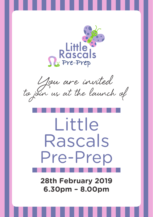

You are invited<br>to join us at the launch of

## Little Rascals Pre-Prep

**28th February 2019 6.30pm – 8.00pm**